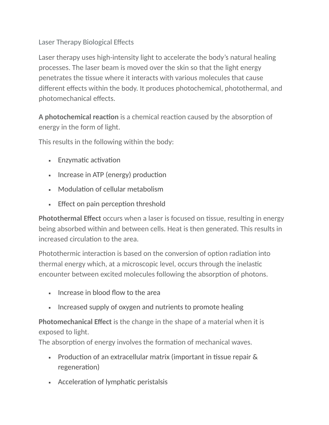# Laser Therapy Biological Effects

Laser therapy uses high-intensity light to accelerate the body's natural healing processes. The laser beam is moved over the skin so that the light energy penetrates the tissue where it interacts with various molecules that cause different effects within the body. It produces photochemical, photothermal, and photomechanical effects.

**A photochemical reaction** is a chemical reaction caused by the absorption of energy in the form of light.

This results in the following within the body:

- Enzymatic activation
- **·** Increase in ATP (energy) production
- Modulation of cellular metabolism
- **Effect on pain perception threshold**

**Photothermal Effect** occurs when a laser is focused on tissue, resulting in energy being absorbed within and between cells. Heat is then generated. This results in increased circulation to the area.

Photothermic interaction is based on the conversion of option radiation into thermal energy which, at a microscopic level, occurs through the inelastic encounter between excited molecules following the absorption of photons.

- **Example 1** Increase in blood flow to the area
- **EXED Increased supply of oxygen and nutrients to promote healing**

**Photomechanical Effect** is the change in the shape of a material when it is exposed to light.

The absorption of energy involves the formation of mechanical waves.

- **Production of an extracellular matrix (important in tissue repair**  $\&$ regeneration)
- Acceleration of lymphatic peristalsis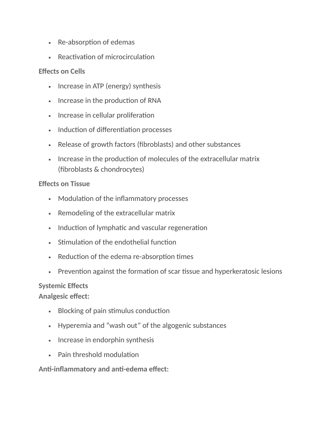- Re-absorption of edemas
- Reactivation of microcirculation

### **Effects on Cells**

- **·** Increase in ATP (energy) synthesis
- **EXECUTE:** Increase in the production of RNA
- **EXEDENT** Increase in cellular proliferation
- **Induction of differentiation processes**
- Release of growth factors (fibroblasts) and other substances
- **EXEDEE IS Increase in the production of molecules of the extracellular matrix** (fibroblasts & chondrocytes)

#### **Effects on Tissue**

- Modulation of the inflammatory processes
- Remodeling of the extracellular matrix
- **EXEDEE** Induction of lymphatic and vascular regeneration
- **Example 1** Stimulation of the endothelial function
- Reduction of the edema re-absorption times
- **EXECT** Prevention against the formation of scar tissue and hyperkeratosic lesions

#### **Systemic Effects**

**Analgesic effect:**

- **Blocking of pain stimulus conduction**
- Hyperemia and "wash out" of the algogenic substances
- **•** Increase in endorphin synthesis
- Pain threshold modulation

**Anti-inflammatory and anti-edema effect:**